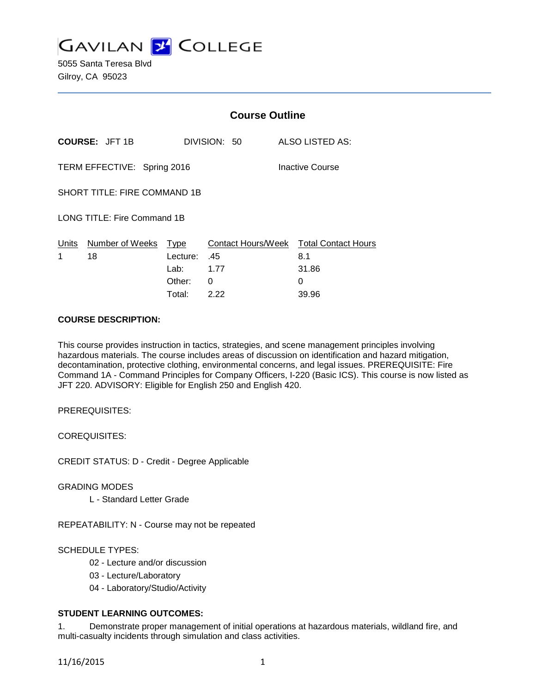

5055 Santa Teresa Blvd Gilroy, CA 95023

|                                                |                                  | <b>Course Outline</b> |              |                                               |
|------------------------------------------------|----------------------------------|-----------------------|--------------|-----------------------------------------------|
| <b>COURSE: JFT 1B</b>                          |                                  |                       | DIVISION: 50 | ALSO LISTED AS:                               |
| TERM EFFECTIVE: Spring 2016<br>Inactive Course |                                  |                       |              |                                               |
| SHORT TITLE: FIRE COMMAND 1B                   |                                  |                       |              |                                               |
| LONG TITLE: Fire Command 1B                    |                                  |                       |              |                                               |
| 1                                              | Units Number of Weeks Type<br>18 | Lecture: .45          |              | Contact Hours/Week Total Contact Hours<br>8.1 |
|                                                |                                  | Lab: 1.77             |              | 31.86                                         |
|                                                |                                  | Other:                | 0            | 0                                             |
|                                                |                                  | Total:                | 2.22         | 39.96                                         |

# **COURSE DESCRIPTION:**

This course provides instruction in tactics, strategies, and scene management principles involving hazardous materials. The course includes areas of discussion on identification and hazard mitigation, decontamination, protective clothing, environmental concerns, and legal issues. PREREQUISITE: Fire Command 1A - Command Principles for Company Officers, I-220 (Basic ICS). This course is now listed as JFT 220. ADVISORY: Eligible for English 250 and English 420.

PREREQUISITES:

COREQUISITES:

CREDIT STATUS: D - Credit - Degree Applicable

GRADING MODES

L - Standard Letter Grade

REPEATABILITY: N - Course may not be repeated

SCHEDULE TYPES:

- 02 Lecture and/or discussion
- 03 Lecture/Laboratory
- 04 Laboratory/Studio/Activity

# **STUDENT LEARNING OUTCOMES:**

1. Demonstrate proper management of initial operations at hazardous materials, wildland fire, and multi-casualty incidents through simulation and class activities.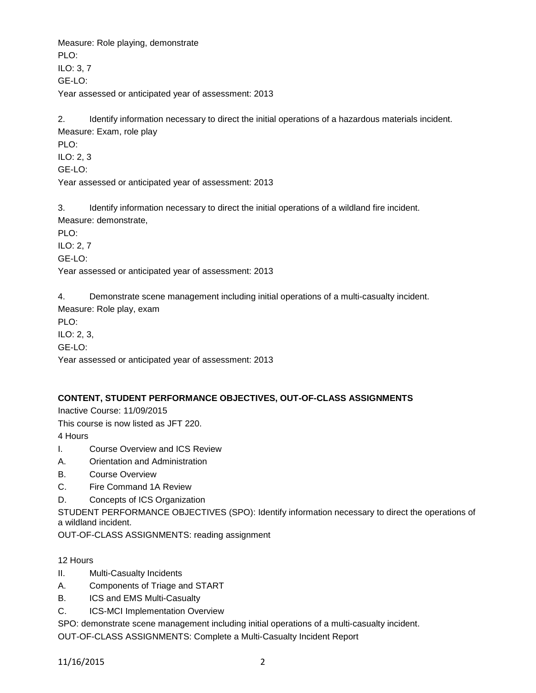Measure: Role playing, demonstrate PLO: ILO: 3, 7 GE-LO: Year assessed or anticipated year of assessment: 2013

2. Identify information necessary to direct the initial operations of a hazardous materials incident. Measure: Exam, role play

PLO: ILO: 2, 3

GE-LO:

Year assessed or anticipated year of assessment: 2013

3. Identify information necessary to direct the initial operations of a wildland fire incident. Measure: demonstrate,

PLO:

ILO: 2, 7

GE-LO:

Year assessed or anticipated year of assessment: 2013

4. Demonstrate scene management including initial operations of a multi-casualty incident.

Measure: Role play, exam

PLO:

ILO: 2, 3,

GE-LO:

Year assessed or anticipated year of assessment: 2013

# **CONTENT, STUDENT PERFORMANCE OBJECTIVES, OUT-OF-CLASS ASSIGNMENTS**

Inactive Course: 11/09/2015

This course is now listed as JFT 220.

4 Hours

- I. Course Overview and ICS Review
- A. Orientation and Administration
- B. Course Overview
- C. Fire Command 1A Review
- D. Concepts of ICS Organization

STUDENT PERFORMANCE OBJECTIVES (SPO): Identify information necessary to direct the operations of a wildland incident.

OUT-OF-CLASS ASSIGNMENTS: reading assignment

# 12 Hours

- II. Multi-Casualty Incidents
- A. Components of Triage and START
- B. ICS and EMS Multi-Casualty
- C. ICS-MCI Implementation Overview

SPO: demonstrate scene management including initial operations of a multi-casualty incident.

OUT-OF-CLASS ASSIGNMENTS: Complete a Multi-Casualty Incident Report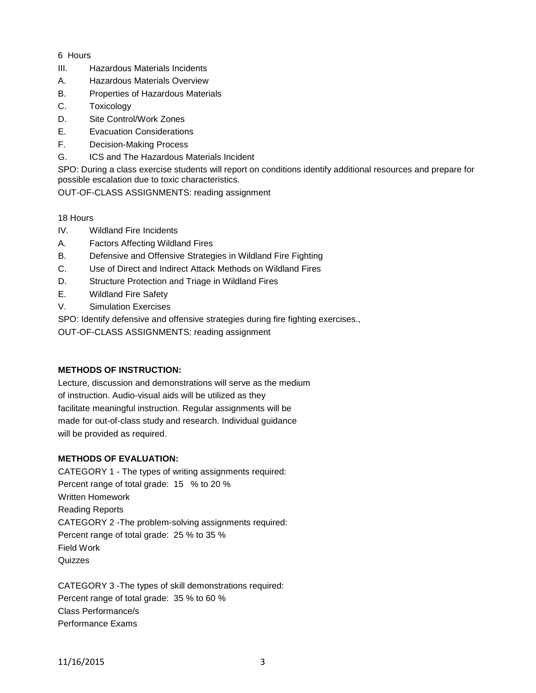# 6 Hours

- III. Hazardous Materials Incidents
- A. Hazardous Materials Overview
- B. Properties of Hazardous Materials
- C. Toxicology
- D. Site Control/Work Zones
- E. Evacuation Considerations
- F. Decision-Making Process
- G. ICS and The Hazardous Materials Incident

SPO: During a class exercise students will report on conditions identify additional resources and prepare for possible escalation due to toxic characteristics.

OUT-OF-CLASS ASSIGNMENTS: reading assignment

#### 18 Hours

- IV. Wildland Fire Incidents
- A. Factors Affecting Wildland Fires
- B. Defensive and Offensive Strategies in Wildland Fire Fighting
- C. Use of Direct and Indirect Attack Methods on Wildland Fires
- D. Structure Protection and Triage in Wildland Fires
- E. Wildland Fire Safety
- V. Simulation Exercises

SPO: Identify defensive and offensive strategies during fire fighting exercises.,

OUT-OF-CLASS ASSIGNMENTS: reading assignment

#### **METHODS OF INSTRUCTION:**

Lecture, discussion and demonstrations will serve as the medium of instruction. Audio-visual aids will be utilized as they facilitate meaningful instruction. Regular assignments will be made for out-of-class study and research. Individual guidance will be provided as required.

# **METHODS OF EVALUATION:**

CATEGORY 1 - The types of writing assignments required: Percent range of total grade: 15 % to 20 % Written Homework Reading Reports CATEGORY 2 -The problem-solving assignments required: Percent range of total grade: 25 % to 35 % Field Work **Quizzes** 

CATEGORY 3 -The types of skill demonstrations required: Percent range of total grade: 35 % to 60 % Class Performance/s Performance Exams